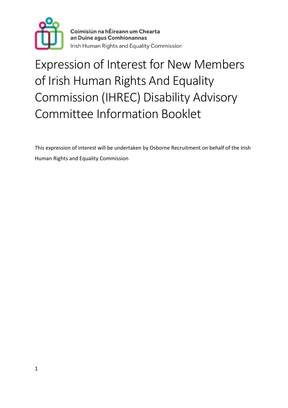

Coimisiún na hÉireann um Chearta an Duine agus Comhionannas Irish Human Rights and Equality Commission

# Expression of Interest for New Members of Irish Human Rights And Equality Commission (IHREC) Disability Advisory Committee Information Booklet

This expression of interest will be undertaken by Osborne Recruitment on behalf of the Irish Human Rights and Equality Commission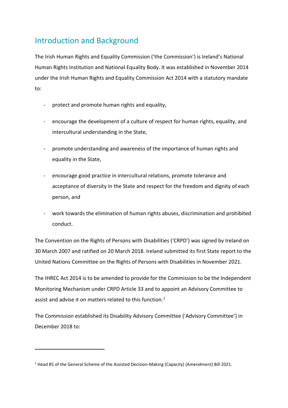# Introduction and Background

The Irish Human Rights and Equality Commission ('the Commission') is Ireland's National Human Rights Institution and National Equality Body. It was established in November 2014 under the Irish Human Rights and Equality Commission Act 2014 with a statutory mandate to:

- protect and promote human rights and equality,
- encourage the development of a culture of respect for human rights, equality, and intercultural understanding in the State,
- promote understanding and awareness of the importance of human rights and equality in the State,
- encourage good practice in intercultural relations, promote tolerance and acceptance of diversity in the State and respect for the freedom and dignity of each person, and
- work towards the elimination of human rights abuses, discrimination and prohibited conduct.

The Convention on the Rights of Persons with Disabilities ('CRPD') was signed by Ireland on 30 March 2007 and ratified on 20 March 2018. Ireland submitted its first State report to the United Nations Committee on the Rights of Persons with Disabilities in November 2021.

The IHREC Act 2014 is to be amended to provide for the Commission to be the Independent Monitoring Mechanism under CRPD Article 33 and to appoint an Advisory Committee to assist and advise it on matters related to this function.<sup>[1](#page-1-0)</sup>

The Commission established its Disability Advisory Committee ('Advisory Committee') in December 2018 to:

 $\overline{a}$ 

<span id="page-1-0"></span><sup>1</sup> Head 85 of the General Scheme of the Assisted Decision-Making (Capacity) (Amendment) Bill 2021.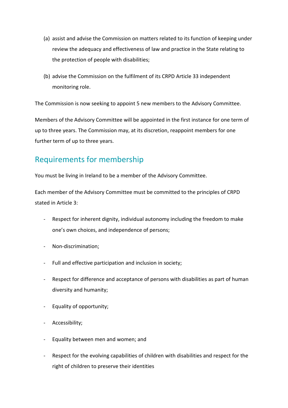- (a) assist and advise the Commission on matters related to its function of keeping under review the adequacy and effectiveness of law and practice in the State relating to the protection of people with disabilities;
- (b) advise the Commission on the fulfilment of its CRPD Article 33 independent monitoring role.

The Commission is now seeking to appoint 5 new members to the Advisory Committee.

Members of the Advisory Committee will be appointed in the first instance for one term of up to three years. The Commission may, at its discretion, reappoint members for one further term of up to three years.

## Requirements for membership

You must be living in Ireland to be a member of the Advisory Committee.

Each member of the Advisory Committee must be committed to the principles of CRPD stated in Article 3:

- Respect for inherent dignity, individual autonomy including the freedom to make one's own choices, and independence of persons;
- Non-discrimination;
- Full and effective participation and inclusion in society;
- Respect for difference and acceptance of persons with disabilities as part of human diversity and humanity;
- Equality of opportunity;
- Accessibility;
- Equality between men and women; and
- Respect for the evolving capabilities of children with disabilities and respect for the right of children to preserve their identities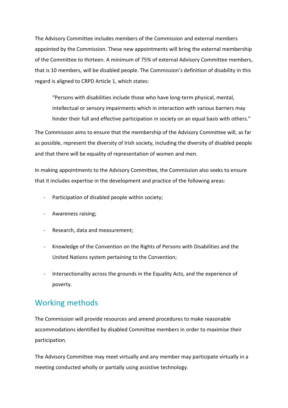The Advisory Committee includes members of the Commission and external members appointed by the Commission. These new appointments will bring the external membership of the Committee to thirteen. A minimum of 75% of external Advisory Committee members, that is 10 members, will be disabled people. The Commission's definition of disability in this regard is aligned to CRPD Article 1, which states:

"Persons with disabilities include those who have long-term physical, mental, intellectual or sensory impairments which in interaction with various barriers may hinder their full and effective participation in society on an equal basis with others."

The Commission aims to ensure that the membership of the Advisory Committee will, as far as possible, represent the diversity of Irish society, including the diversity of disabled people and that there will be equality of representation of women and men.

In making appointments to the Advisory Committee, the Commission also seeks to ensure that it includes expertise in the development and practice of the following areas:

- Participation of disabled people within society;
- Awareness raising;
- Research, data and measurement;
- Knowledge of the Convention on the Rights of Persons with Disabilities and the United Nations system pertaining to the Convention;
- Intersectionality across the grounds in the Equality Acts, and the experience of poverty.

#### Working methods

The Commission will provide resources and amend procedures to make reasonable accommodations identified by disabled Committee members in order to maximise their participation.

The Advisory Committee may meet virtually and any member may participate virtually in a meeting conducted wholly or partially using assistive technology.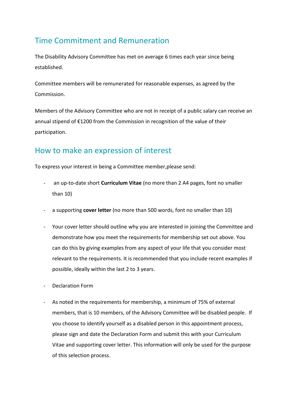## Time Commitment and Remuneration

The Disability Advisory Committee has met on average 6 times each year since being established.

Committee members will be remunerated for reasonable expenses, as agreed by the Commission.

Members of the Advisory Committee who are not in receipt of a public salary can receive an annual stipend of €1200 from the Commission in recognition of the value of their participation.

## How to make an expression of interest

To express your interest in being a Committee member,please send:

- an up-to-date short **Curriculum Vitae** (no more than 2 A4 pages, font no smaller than 10)
- a supporting **cover letter** (no more than 500 words, font no smaller than 10)
- Your cover letter should outline why you are interested in joining the Committee and demonstrate how you meet the requirements for membership set out above. You can do this by giving examples from any aspect of your life that you consider most relevant to the requirements. It is recommended that you include recent examples if possible, ideally within the last 2 to 3 years.
- Declaration Form
- As noted in the requirements for membership, a minimum of 75% of external members, that is 10 members, of the Advisory Committee will be disabled people. If you choose to identify yourself as a disabled person in this appointment process, please sign and date the Declaration Form and submit this with your Curriculum Vitae and supporting cover letter. This information will only be used for the purpose of this selection process.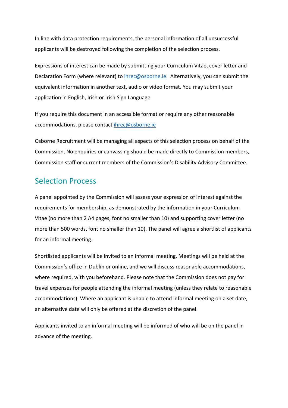In line with data protection requirements, the personal information of all unsuccessful applicants will be destroyed following the completion of the selection process.

Expressions of interest can be made by submitting your Curriculum Vitae, cover letter and Declaration Form (where relevant) to *[ihrec@osborne.ie.](mailto:ihrec@osborne.ie)* Alternatively, you can submit the equivalent information in another text, audio or video format. You may submit your application in English, Irish or Irish Sign Language.

If you require this document in an accessible format or require any other reasonable accommodations, please contact [ihrec@osborne.ie](mailto:ihrec@osborne.ie)

Osborne Recruitment will be managing all aspects of this selection process on behalf of the Commission. No enquiries or canvassing should be made directly to Commission members, Commission staff or current members of the Commission's Disability Advisory Committee.

#### Selection Process

A panel appointed by the Commission will assess your expression of interest against the requirements for membership, as demonstrated by the information in your Curriculum Vitae (no more than 2 A4 pages, font no smaller than 10) and supporting cover letter (no more than 500 words, font no smaller than 10). The panel will agree a shortlist of applicants for an informal meeting.

Shortlisted applicants will be invited to an informal meeting. Meetings will be held at the Commission's office in Dublin or online, and we will discuss reasonable accommodations, where required, with you beforehand. Please note that the Commission does not pay for travel expenses for people attending the informal meeting (unless they relate to reasonable accommodations). Where an applicant is unable to attend informal meeting on a set date, an alternative date will only be offered at the discretion of the panel.

Applicants invited to an informal meeting will be informed of who will be on the panel in advance of the meeting.